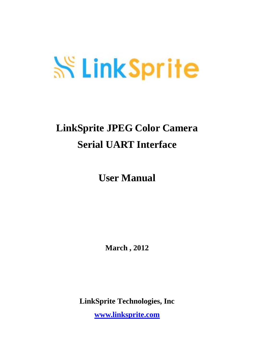# **SS LinkSprite**

# **LinkSprite JPEG Color Camera Serial UART Interface**

**User Manual** 

**March , 2012** 

**LinkSprite Technologies, Inc** 

**[www.linksprite.com](http://www.linksprite.com)**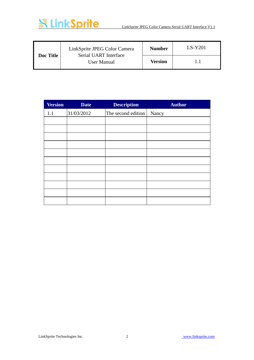

| Doc Title | LinkSprite JPEG Color Camera<br>Serial UART Interface | <b>Number</b> | $LS-Y201$ |
|-----------|-------------------------------------------------------|---------------|-----------|
|           | User Manual                                           | Version       |           |

| <b>Version</b> | <b>Date</b> | <b>Description</b> | <b>Author</b> |
|----------------|-------------|--------------------|---------------|
| 1.1            | 31/03/2012  | The second edition | Nancy         |
|                |             |                    |               |
|                |             |                    |               |
|                |             |                    |               |
|                |             |                    |               |
|                |             |                    |               |
|                |             |                    |               |
|                |             |                    |               |
|                |             |                    |               |
|                |             |                    |               |
|                |             |                    |               |
|                |             |                    |               |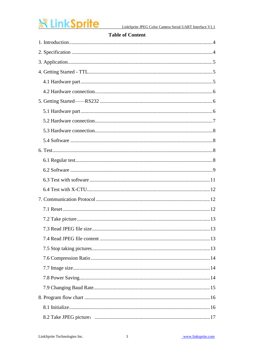# **※ LinkSprite**

#### **Table of Content**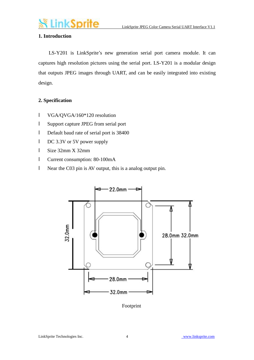

#### **1. Introduction**

 LS-Y201 is LinkSprite's new generation serial port camera module. It can captures high resolution pictures using the serial port. LS-Y201 is a modular design that outputs JPEG images through UART, and can be easily integrated into existing design.

#### **2. Specification**

- l VGA/QVGA/160\*120 resolution
- l Support capture JPEG from serial port
- l Default baud rate of serial port is 38400
- l DC 3.3V or 5V power supply
- l Size 32mm X 32mm
- l Current consumption: 80-100mA
- l Near the C03 pin is AV output, this is a analog output pin.



Footprint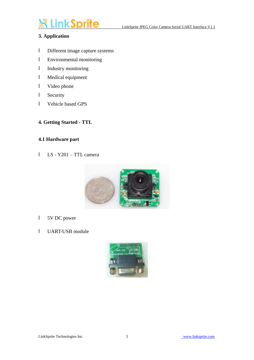# *<u>LinkSprite</u>*

#### **3. Application**

- l Different image capture systems
- l Environmental monitoring
- l Industry monitoring
- l Medical equipment
- l Video phone
- l Security
- l Vehicle based GPS
- **4. Getting Started - TTL**

#### **4.1 Hardware part**

l LS - Y201 – TTL camera



- l 5V DC power
- l UART-USB module

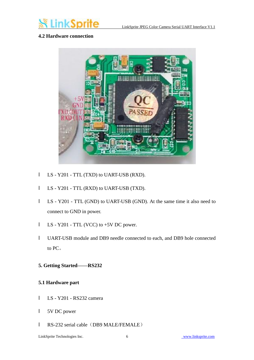

#### **4.2 Hardware connection**



- l LS Y201 TTL (TXD) to UART-USB (RXD).
- l LS Y201 TTL (RXD) to UART-USB (TXD).
- l LS Y201 TTL (GND) to UART-USB (GND). At the same time it also need to connect to GND in power.
- l LS Y201 TTL (VCC) to +5V DC power.
- l UART-USB module and DB9 needle connected to each, and DB9 hole connected to PC。
- **5. Getting Started——RS232**

#### **5.1 Hardware part**

- l LS Y201 RS232 camera
- l 5V DC power
- l RS-232 serial cable (DB9 MALE/FEMALE)

LinkSprite Technologies Inc. 6 [www.linksprite.com](http://www.linksprite.com)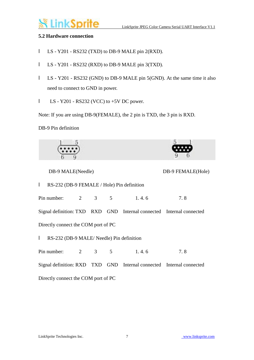# ık Sprite

#### **5.2 Hardware connection**

- l LS Y201 RS232 (TXD) to DB-9 MALE pin 2(RXD).
- l LS Y201 RS232 (RXD) to DB-9 MALE pin 3(TXD).
- l LS Y201 RS232 (GND) to DB-9 MALE pin 5(GND). At the same time it also need to connect to GND in power.
- $I$  LS Y201 RS232 (VCC) to +5V DC power.

Note: If you are using DB-9(FEMALE), the 2 pin is TXD, the 3 pin is RXD.

DB-9 Pin definition



DB-9 MALE(Needle) DB-9 FEMALE(Hole)



l RS-232 (DB-9 FEMALE / Hole) Pin definition

Signal definition: TXD RXD GND Internal connected Internal connected

Pin number: 2 3 5 1.4.6 7.8

Directly connect the COM port of PC

l RS-232 (DB-9 MALE/ Needle) Pin definition

Pin number: 2 3 5 1.4.6 7.8 Signal definition: RXD TXD GND Internal connected Internal connected Directly connect the COM port of PC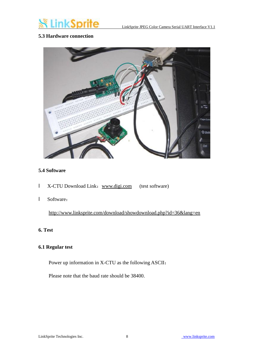

#### **5.3 Hardware connection**



#### **5.4 Software**

- l X-CTU Download Link: [www.digi.com](http://www.digi.com) (test software)
- l Software:

<http://www.linksprite.com/download/showdownload.php?id=36&lang=en>

#### **6. Test**

#### **6.1 Regular test**

Power up information in X-CTU as the following ASCII:

Please note that the baud rate should be 38400.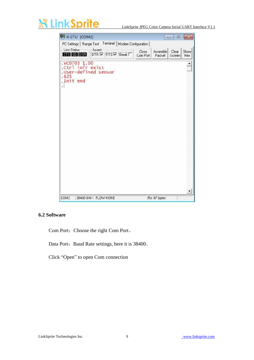# **ikSprit**

LinkSprite JPEG Color Camera Serial UART Interface V1.1



#### **6.2 Software**

Com Port: Choose the right Com Port。

Data Port: Baud Rate settings, here it is 38400.

Click "Open" to open Com connection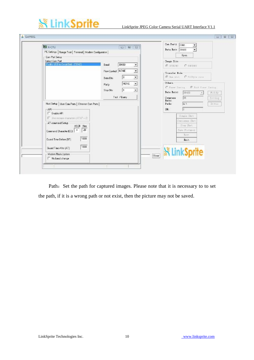# **※LinkSprite**

#### LinkSprite JPEG Color Camera Serial UART Interface V1.1

| <b>DE X-CTU</b><br>PC Settings   Range Test   Terninal   Modem Configuration | $\Box$ $\Box$             | Con Port:<br>cove<br>$\frac{1}{\sqrt{2}}$<br>Data Rate 38400 |
|------------------------------------------------------------------------------|---------------------------|--------------------------------------------------------------|
| Com Port Selup                                                               |                           | <b>Üpen</b>                                                  |
| Select Com Port                                                              |                           | <b>Inage Size</b>                                            |
| Proffic USB to Serial Brid. (COM2)                                           | 33400<br>Baud<br>٠        | $C$ canvage<br>$C = 1202240$                                 |
|                                                                              | Flow Control NONE<br>Ξ    |                                                              |
|                                                                              |                           | <b>Transfer Mode</b>                                         |
|                                                                              | 8 <br>۷<br>Data Bits      | C Sillayes suce<br>G Univ shut                               |
|                                                                              | $\cdot$<br>NONE<br>Parity | Others                                                       |
|                                                                              | Stop Bits<br>ŀı.<br>۰     | C Toyer Seving G East Tower Seving                           |
|                                                                              |                           | Date Rate:<br>38400<br>新市方                                   |
|                                                                              | Ted / Guery               | 136<br>Compress<br>Setting                                   |
| Host Selup   Liser Com Ports   Ethernet Com Ports                            |                           | <b>Eate:</b><br>4:5<br>Path:<br>Browing                      |
| API-                                                                         |                           | $\mathbb{S}H$ :                                              |
| F Enable API                                                                 |                           |                                                              |
| F Use escape characters (ATAP = 2)                                           |                           | Single Shot                                                  |
| AT command Setup                                                             |                           | Continues Shot                                               |
| ASEII Hex                                                                    |                           | Stop Shot                                                    |
| ъ<br>$\ddot{}$<br>Commend Character (CC)                                     |                           | Save Pictures                                                |
| 1000<br>Guard Time Before (BT)                                               |                           | Best:                                                        |
|                                                                              |                           | Exit.                                                        |
| 1000<br><b>Guard Time Alter (AT)</b>                                         |                           | <b>SK LinkSprite</b>                                         |
| Modem Flash Update                                                           |                           | $c_{1\times x}$                                              |
| No baud change                                                               |                           |                                                              |

Path: Set the path for captured images. Please note that it is necessary to to set the path, if it is a wrong path or not exist, then the picture may not be saved.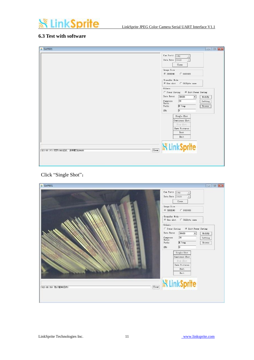### **※LinkSprite**

#### **6.3 Test with software**

| <b>&amp;</b> GxtV601                                     | <b>DI 0 X</b>                                                                                                                                                                                                                                                                                                                                                                                  |
|----------------------------------------------------------|------------------------------------------------------------------------------------------------------------------------------------------------------------------------------------------------------------------------------------------------------------------------------------------------------------------------------------------------------------------------------------------------|
|                                                          | Com Port:<br>CON2<br>Data Rate 38400<br>Close<br>Insge Size<br>G 3203240<br>$C$ 640X480<br>Iranxfer Mode<br>6 One shot C 512Byts once<br><b>Others</b><br>C Fover Saving G Bait Power Seving<br>Date Rate:<br>38400<br>$\overline{\phantom{a}}$<br>Wodify<br>36<br>Compress<br>Setting<br>Rote:<br>E: \tmp<br>Branse )<br>Path:<br>þ<br>$S\Re$ :<br>Single Shot<br>Continues Shot<br>Step Shot |
|                                                          | Save Pictures                                                                                                                                                                                                                                                                                                                                                                                  |
|                                                          | Rest                                                                                                                                                                                                                                                                                                                                                                                           |
|                                                          | Exit.                                                                                                                                                                                                                                                                                                                                                                                          |
| $\boxed{\text{Clow}}$<br>[023:05:37] 打开COV2成功, 波特率为38400 | <b>WinkSprite</b>                                                                                                                                                                                                                                                                                                                                                                              |

#### Click "Single Shot":

| 4 GxtY601                  | <b>CONTROL</b>                                             |
|----------------------------|------------------------------------------------------------|
|                            | Con Port: CONZ<br>Date Rate 38400<br>$C_{\text{lose}}$     |
|                            | Inage Size<br>C 640X480<br>6 3203240                       |
|                            | -Transfer Wode-<br>6 One shot 6 512Byte once               |
|                            | -Others-<br>C Power Saving G Brit Power Saving             |
|                            | Date Rate:<br>38400<br>Wedify<br>$\bullet$<br>36           |
|                            | Compress<br>Rote:<br>Setting<br>E: tinp<br>Fath:<br>Bronse |
|                            | $\sqrt{2}$<br>ST:                                          |
|                            | Single Shot<br>Continues Shot                              |
|                            | Stop Shot<br>Save Fictures                                 |
|                            | Rest.<br>Leit.                                             |
|                            |                                                            |
| C1ear<br>23:08:39) 億止拍照成功! | <b>SK LinkSprite</b>                                       |
|                            |                                                            |
|                            |                                                            |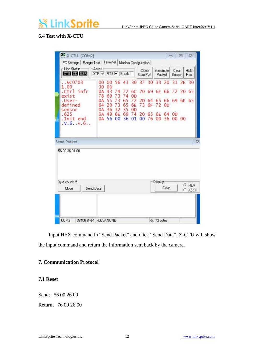# **inkSprite**

#### **6.4 Test with X-CTU**

| PC Settings   Range Test Terminal   Modem Configuration  <br>Line Status |                             |                 |                   |                |                       |                   |          |                    |                | $\Box$          | $\boxed{=}$ | $\Sigma$                                                    |
|--------------------------------------------------------------------------|-----------------------------|-----------------|-------------------|----------------|-----------------------|-------------------|----------|--------------------|----------------|-----------------|-------------|-------------------------------------------------------------|
| CTS CD DSR                                                               | Assert<br>DTR V RTS V Break |                 |                   |                |                       | Close<br>Com Port |          | Assemble<br>Packet |                | Clear<br>Screen |             | Hide<br>Hex                                                 |
| $\ldots$ VC0703                                                          | 00<br>30                    | 00<br><b>OD</b> |                   |                |                       |                   |          | 33 20              |                |                 |             |                                                             |
| exist<br>.User-<br>defined                                               | 78<br>0A<br>64              | 69<br>55<br>20  | 3<br>73<br>73     | 74<br>65<br>65 | <b>OD</b><br>72<br>6E | 2D<br>73          | 64<br>6F | 65<br>72           | 0 <sub>D</sub> |                 |             |                                                             |
| sensor<br>. Init end<br>V.6. V.6.                                        | 0A                          | 49              | 6F<br>00          | 69<br>36       | 74<br>01              | 20<br>00          | 65<br>76 | 6E                 |                |                 |             |                                                             |
| 56 00 36 01 00                                                           |                             |                 |                   |                |                       |                   |          |                    |                |                 |             |                                                             |
| Byte count: 5                                                            |                             |                 |                   |                |                       |                   |          | Display            | Clear          |                 | $G$ HEX     |                                                             |
|                                                                          | .Ctrl infr<br>Send Packet   | 0A<br>0A        | 43<br>36<br>0A 56 | 74<br>32       | 35                    | <b>OD</b>         | 6C       | 56 43 30 37 30     | 00             |                 | 64 OD       | 31 2E 30<br>20 69 6E 66 72 20 65<br>66 69 6E 65<br>36 00 00 |

Input HEX command in "Send Packet" and click "Send Data", X-CTU will show the input command and return the information sent back by the camera.

#### **7. Communication Protocol**

#### **7.1 Reset**

Send: 56 00 26 00

Return: 76 00 26 00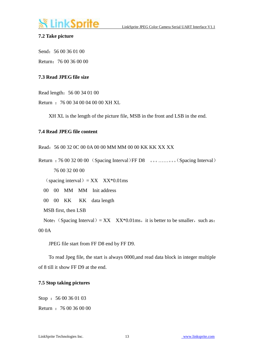# LinkSprite

#### **7.2 Take picture**

Send: 56 00 36 01 00

Return:76 00 36 00 00

#### **7.3 Read JPEG file size**

Read length:56 00 34 01 00

Return :76 00 34 00 04 00 00 XH XL

XH XL is the length of the picture file, MSB in the front and LSB in the end.

#### **7.4 Read JPEG file content**

Read:56 00 32 0C 00 0A 00 00 MM MM 00 00 KK KK XX XX

Return : 76 00 32 00 00 (Spacing Interval)FF D8 。。.......。。(Spacing Interval) 76 00 32 00 00

 $(space integral) = XX$   $XX*0.01$ ms

00 00 MM MM Init address

00 00 KK KK data length

MSB first, then LSB

Note: (Spacing Interval) = XX  $XX*0.01$ ms, it is better to be smaller, such as: 00 0A

JPEG file start from FF D8 end by FF D9.

To read Jpeg file, the start is always 0000,and read data block in integer multiple of 8 till it show FF D9 at the end.

#### **7.5 Stop taking pictures**

Stop: 56 00 36 01 03 Return :76 00 36 00 00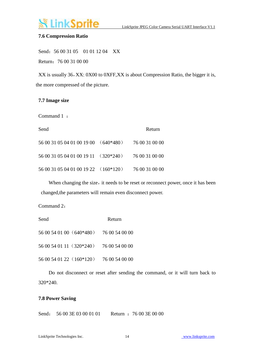## **LinkSprite**

#### **7.6 Compression Ratio**

Send: 56 00 31 05 01 01 12 04 XX Return:76 00 31 00 00

XX is usually 36,XX: 0X00 to 0XFF,XX is about Compression Ratio, the bigger it is, the more compressed of the picture.

#### **7.7 Image size**

Command 1 :

| Send                                                | Return |
|-----------------------------------------------------|--------|
| 56 00 31 05 04 01 00 19 00 (640*480) 76 00 31 00 00 |        |
| 56 00 31 05 04 01 00 19 11 (320*240) 76 00 31 00 00 |        |
| 56 00 31 05 04 01 00 19 22 (160*120) 76 00 31 00 00 |        |

When changing the size, it needs to be reset or reconnect power, once it has been changed,the parameters will remain even disconnect power.

Command 2:

| Send                                    | Return |
|-----------------------------------------|--------|
| 56 00 54 01 00 (640*480) 76 00 54 00 00 |        |
| 56 00 54 01 11 (320*240) 76 00 54 00 00 |        |
| 56 00 54 01 22 (160*120) 76 00 54 00 00 |        |

 Do not disconnect or reset after sending the command, or it will turn back to 320\*240.

#### **7.8 Power Saving**

Send: 56 00 3E 03 00 01 01 Return : 76 00 3E 00 00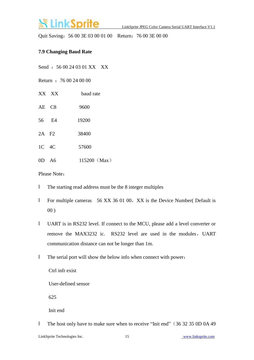### LinkSprite

Quit Saving: 56 00 3E 03 00 01 00 Return: 76 00 3E 00 00

#### **7.9 Changing Baud Rate**

Send : 56 00 24 03 01 XX XX

Return :76 00 24 00 00

- XX XX baud rate
- AE C8 9600
- 56 E4 19200
- 2A F2 38400
- 1C 4C 57600
- 0D A6 115200 (Max)

Please Note:

- l The starting read address must be the 8 integer multiples
- **l** For multiple cameras 56 XX 36 01 00, XX is the Device Number( Default is  $00)$
- l UART is in RS232 level. If connect to the MCU, please add a level converter or remove the MAX3232 ic. RS232 level are used in the modules, UART communication distance can not be longer than 1m.
- l The serial port will show the below info when connect with power:

Ctrl infr exist

User-defined sensor

625

Init end

I The host only have to make sure when to receive "Init end" (36 32 35 0D 0A 49)

LinkSprite Technologies Inc. 15 [www.linksprite.com](http://www.linksprite.com)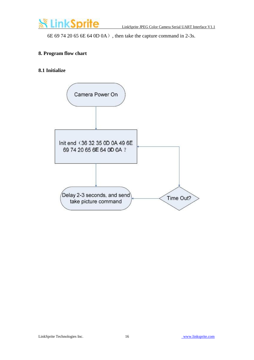

6E 69 74 20 65 6E 64 0D 0A), then take the capture command in 2-3s.

#### **8. Program flow chart**

#### **8.1 Initialize**

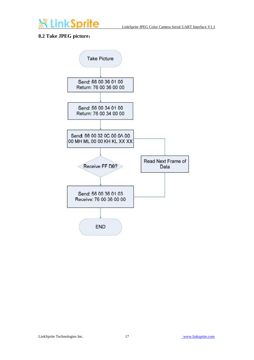

#### **8.2 Take JPEG picture:**